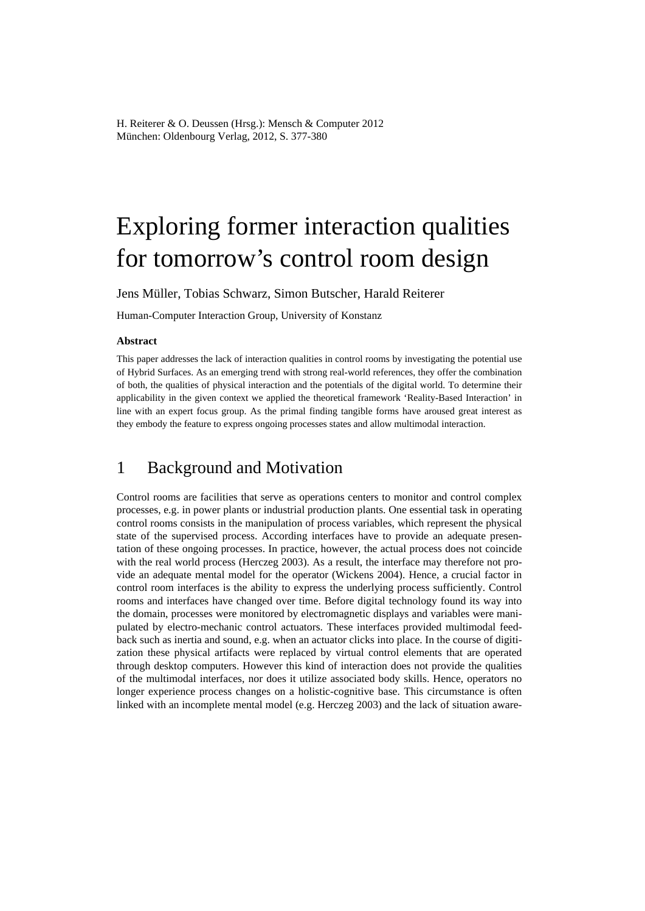# Exploring former interaction qualities for tomorrow's control room design

Jens Müller, Tobias Schwarz, Simon Butscher, Harald Reiterer

Human-Computer Interaction Group, University of Konstanz

#### **Abstract**

This paper addresses the lack of interaction qualities in control rooms by investigating the potential use of Hybrid Surfaces. As an emerging trend with strong real-world references, they offer the combination of both, the qualities of physical interaction and the potentials of the digital world. To determine their applicability in the given context we applied the theoretical framework 'Reality-Based Interaction' in line with an expert focus group. As the primal finding tangible forms have aroused great interest as they embody the feature to express ongoing processes states and allow multimodal interaction.

#### 1 Background and Motivation

Control rooms are facilities that serve as operations centers to monitor and control complex processes, e.g. in power plants or industrial production plants. One essential task in operating control rooms consists in the manipulation of process variables, which represent the physical state of the supervised process. According interfaces have to provide an adequate presentation of these ongoing processes. In practice, however, the actual process does not coincide with the real world process (Herczeg 2003). As a result, the interface may therefore not provide an adequate mental model for the operator (Wickens 2004). Hence, a crucial factor in control room interfaces is the ability to express the underlying process sufficiently. Control rooms and interfaces have changed over time. Before digital technology found its way into the domain, processes were monitored by electromagnetic displays and variables were manipulated by electro-mechanic control actuators. These interfaces provided multimodal feedback such as inertia and sound, e.g. when an actuator clicks into place. In the course of digitization these physical artifacts were replaced by virtual control elements that are operated through desktop computers. However this kind of interaction does not provide the qualities of the multimodal interfaces, nor does it utilize associated body skills. Hence, operators no longer experience process changes on a holistic-cognitive base. This circumstance is often linked with an incomplete mental model (e.g. Herczeg 2003) and the lack of situation aware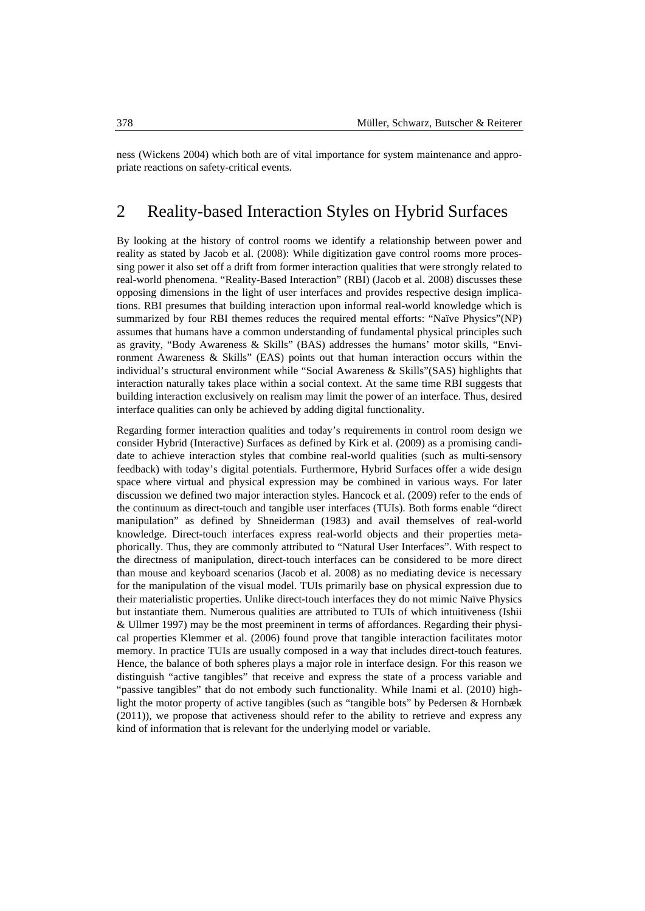ness (Wickens 2004) which both are of vital importance for system maintenance and appropriate reactions on safety-critical events.

## 2 Reality-based Interaction Styles on Hybrid Surfaces

By looking at the history of control rooms we identify a relationship between power and reality as stated by Jacob et al. (2008): While digitization gave control rooms more processing power it also set off a drift from former interaction qualities that were strongly related to real-world phenomena. "Reality-Based Interaction" (RBI) (Jacob et al. 2008) discusses these opposing dimensions in the light of user interfaces and provides respective design implications. RBI presumes that building interaction upon informal real-world knowledge which is summarized by four RBI themes reduces the required mental efforts: "Naïve Physics"(NP) assumes that humans have a common understanding of fundamental physical principles such as gravity, "Body Awareness & Skills" (BAS) addresses the humans' motor skills, "Environment Awareness & Skills" (EAS) points out that human interaction occurs within the individual's structural environment while "Social Awareness & Skills"(SAS) highlights that interaction naturally takes place within a social context. At the same time RBI suggests that building interaction exclusively on realism may limit the power of an interface. Thus, desired interface qualities can only be achieved by adding digital functionality.

Regarding former interaction qualities and today's requirements in control room design we consider Hybrid (Interactive) Surfaces as defined by Kirk et al. (2009) as a promising candidate to achieve interaction styles that combine real-world qualities (such as multi-sensory feedback) with today's digital potentials. Furthermore, Hybrid Surfaces offer a wide design space where virtual and physical expression may be combined in various ways. For later discussion we defined two major interaction styles. Hancock et al. (2009) refer to the ends of the continuum as direct-touch and tangible user interfaces (TUIs). Both forms enable "direct manipulation" as defined by Shneiderman (1983) and avail themselves of real-world knowledge. Direct-touch interfaces express real-world objects and their properties metaphorically. Thus, they are commonly attributed to "Natural User Interfaces". With respect to the directness of manipulation, direct-touch interfaces can be considered to be more direct than mouse and keyboard scenarios (Jacob et al. 2008) as no mediating device is necessary for the manipulation of the visual model. TUIs primarily base on physical expression due to their materialistic properties. Unlike direct-touch interfaces they do not mimic Naïve Physics but instantiate them. Numerous qualities are attributed to TUIs of which intuitiveness (Ishii & Ullmer 1997) may be the most preeminent in terms of affordances. Regarding their physical properties Klemmer et al. (2006) found prove that tangible interaction facilitates motor memory. In practice TUIs are usually composed in a way that includes direct-touch features. Hence, the balance of both spheres plays a major role in interface design. For this reason we distinguish "active tangibles" that receive and express the state of a process variable and "passive tangibles" that do not embody such functionality. While Inami et al. (2010) highlight the motor property of active tangibles (such as "tangible bots" by Pedersen & Hornbæk (2011)), we propose that activeness should refer to the ability to retrieve and express any kind of information that is relevant for the underlying model or variable.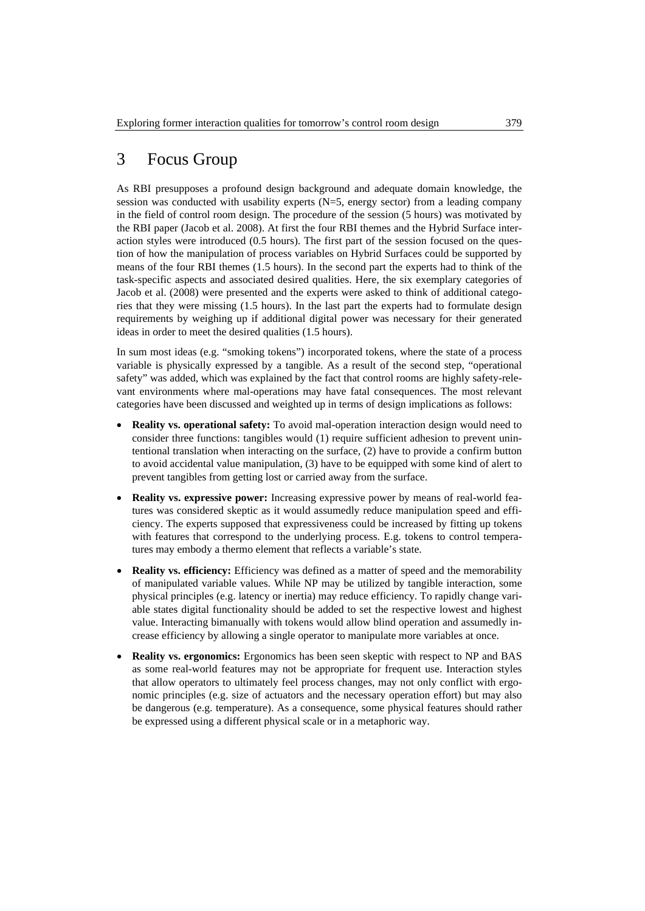## 3 Focus Group

As RBI presupposes a profound design background and adequate domain knowledge, the session was conducted with usability experts (N=5, energy sector) from a leading company in the field of control room design. The procedure of the session (5 hours) was motivated by the RBI paper (Jacob et al. 2008). At first the four RBI themes and the Hybrid Surface interaction styles were introduced (0.5 hours). The first part of the session focused on the question of how the manipulation of process variables on Hybrid Surfaces could be supported by means of the four RBI themes (1.5 hours). In the second part the experts had to think of the task-specific aspects and associated desired qualities. Here, the six exemplary categories of Jacob et al. (2008) were presented and the experts were asked to think of additional categories that they were missing (1.5 hours). In the last part the experts had to formulate design requirements by weighing up if additional digital power was necessary for their generated ideas in order to meet the desired qualities (1.5 hours).

In sum most ideas (e.g. "smoking tokens") incorporated tokens, where the state of a process variable is physically expressed by a tangible. As a result of the second step, "operational safety" was added, which was explained by the fact that control rooms are highly safety-relevant environments where mal-operations may have fatal consequences. The most relevant categories have been discussed and weighted up in terms of design implications as follows:

- **Reality vs. operational safety:** To avoid mal-operation interaction design would need to consider three functions: tangibles would (1) require sufficient adhesion to prevent unintentional translation when interacting on the surface, (2) have to provide a confirm button to avoid accidental value manipulation, (3) have to be equipped with some kind of alert to prevent tangibles from getting lost or carried away from the surface.
- **Reality vs. expressive power:** Increasing expressive power by means of real-world features was considered skeptic as it would assumedly reduce manipulation speed and efficiency. The experts supposed that expressiveness could be increased by fitting up tokens with features that correspond to the underlying process. E.g. tokens to control temperatures may embody a thermo element that reflects a variable's state.
- **Reality vs. efficiency:** Efficiency was defined as a matter of speed and the memorability of manipulated variable values. While NP may be utilized by tangible interaction, some physical principles (e.g. latency or inertia) may reduce efficiency. To rapidly change variable states digital functionality should be added to set the respective lowest and highest value. Interacting bimanually with tokens would allow blind operation and assumedly increase efficiency by allowing a single operator to manipulate more variables at once.
- **Reality vs. ergonomics:** Ergonomics has been seen skeptic with respect to NP and BAS as some real-world features may not be appropriate for frequent use. Interaction styles that allow operators to ultimately feel process changes, may not only conflict with ergonomic principles (e.g. size of actuators and the necessary operation effort) but may also be dangerous (e.g. temperature). As a consequence, some physical features should rather be expressed using a different physical scale or in a metaphoric way.